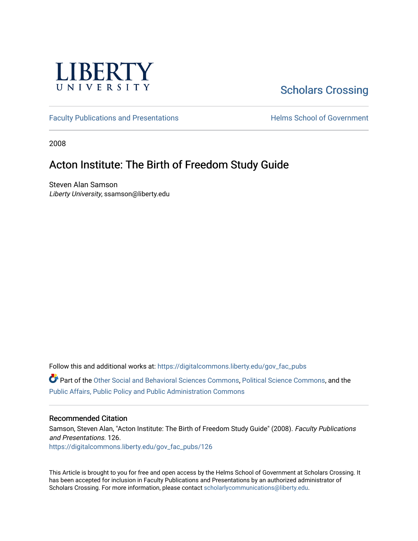

# [Scholars Crossing](https://digitalcommons.liberty.edu/)

[Faculty Publications and Presentations](https://digitalcommons.liberty.edu/gov_fac_pubs) **Exercise School of Government** 

2008

## Acton Institute: The Birth of Freedom Study Guide

Steven Alan Samson Liberty University, ssamson@liberty.edu

Follow this and additional works at: [https://digitalcommons.liberty.edu/gov\\_fac\\_pubs](https://digitalcommons.liberty.edu/gov_fac_pubs?utm_source=digitalcommons.liberty.edu%2Fgov_fac_pubs%2F126&utm_medium=PDF&utm_campaign=PDFCoverPages)

Part of the [Other Social and Behavioral Sciences Commons](http://network.bepress.com/hgg/discipline/437?utm_source=digitalcommons.liberty.edu%2Fgov_fac_pubs%2F126&utm_medium=PDF&utm_campaign=PDFCoverPages), [Political Science Commons](http://network.bepress.com/hgg/discipline/386?utm_source=digitalcommons.liberty.edu%2Fgov_fac_pubs%2F126&utm_medium=PDF&utm_campaign=PDFCoverPages), and the [Public Affairs, Public Policy and Public Administration Commons](http://network.bepress.com/hgg/discipline/393?utm_source=digitalcommons.liberty.edu%2Fgov_fac_pubs%2F126&utm_medium=PDF&utm_campaign=PDFCoverPages)

#### Recommended Citation

Samson, Steven Alan, "Acton Institute: The Birth of Freedom Study Guide" (2008). Faculty Publications and Presentations. 126. [https://digitalcommons.liberty.edu/gov\\_fac\\_pubs/126](https://digitalcommons.liberty.edu/gov_fac_pubs/126?utm_source=digitalcommons.liberty.edu%2Fgov_fac_pubs%2F126&utm_medium=PDF&utm_campaign=PDFCoverPages)

This Article is brought to you for free and open access by the Helms School of Government at Scholars Crossing. It has been accepted for inclusion in Faculty Publications and Presentations by an authorized administrator of Scholars Crossing. For more information, please contact [scholarlycommunications@liberty.edu.](mailto:scholarlycommunications@liberty.edu)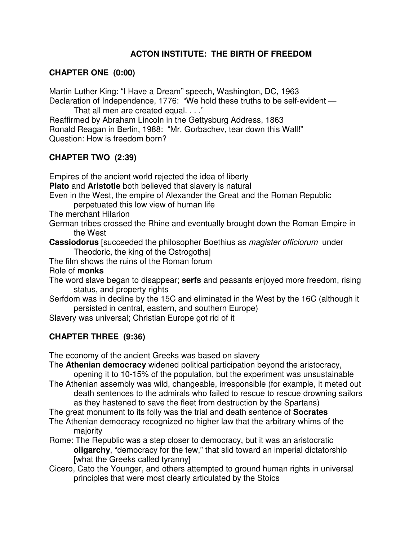### **ACTON INSTITUTE: THE BIRTH OF FREEDOM**

#### **CHAPTER ONE (0:00)**

Martin Luther King: "I Have a Dream" speech, Washington, DC, 1963 Declaration of Independence, 1776: "We hold these truths to be self-evident —

That all men are created equal. . . ."

Reaffirmed by Abraham Lincoln in the Gettysburg Address, 1863 Ronald Reagan in Berlin, 1988: "Mr. Gorbachev, tear down this Wall!" Question: How is freedom born?

#### **CHAPTER TWO (2:39)**

Empires of the ancient world rejected the idea of liberty **Plato** and **Aristotle** both believed that slavery is natural Even in the West, the empire of Alexander the Great and the Roman Republic perpetuated this low view of human life The merchant Hilarion German tribes crossed the Rhine and eventually brought down the Roman Empire in the West **Cassiodorus** [succeeded the philosopher Boethius as magister officiorum under Theodoric, the king of the Ostrogoths] The film shows the ruins of the Roman forum Role of **monks** The word slave began to disappear; **serfs** and peasants enjoyed more freedom, rising status, and property rights Serfdom was in decline by the 15C and eliminated in the West by the 16C (although it persisted in central, eastern, and southern Europe) Slavery was universal; Christian Europe got rid of it **CHAPTER THREE (9:36)** 

The economy of the ancient Greeks was based on slavery

The **Athenian democracy** widened political participation beyond the aristocracy, opening it to 10-15% of the population, but the experiment was unsustainable

The Athenian assembly was wild, changeable, irresponsible (for example, it meted out death sentences to the admirals who failed to rescue to rescue drowning sailors as they hastened to save the fleet from destruction by the Spartans)

The great monument to its folly was the trial and death sentence of **Socrates**

The Athenian democracy recognized no higher law that the arbitrary whims of the majority

Rome: The Republic was a step closer to democracy, but it was an aristocratic **oligarchy**, "democracy for the few," that slid toward an imperial dictatorship [what the Greeks called tyranny]

Cicero, Cato the Younger, and others attempted to ground human rights in universal principles that were most clearly articulated by the Stoics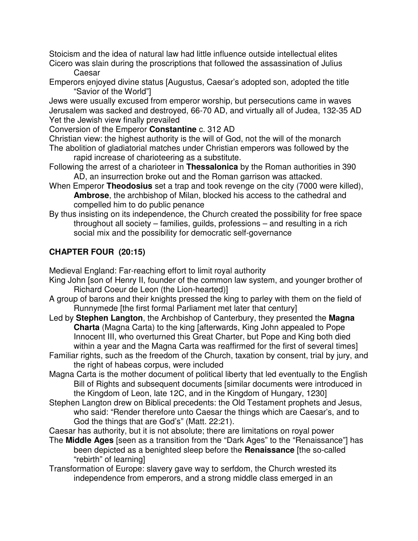Stoicism and the idea of natural law had little influence outside intellectual elites Cicero was slain during the proscriptions that followed the assassination of Julius

Caesar

Emperors enjoyed divine status [Augustus, Caesar's adopted son, adopted the title "Savior of the World"]

Jews were usually excused from emperor worship, but persecutions came in waves Jerusalem was sacked and destroyed, 66-70 AD, and virtually all of Judea, 132-35 AD Yet the Jewish view finally prevailed

Conversion of the Emperor **Constantine** c. 312 AD

- Christian view: the highest authority is the will of God, not the will of the monarch The abolition of gladiatorial matches under Christian emperors was followed by the rapid increase of charioteering as a substitute.
- Following the arrest of a charioteer in **Thessalonica** by the Roman authorities in 390 AD, an insurrection broke out and the Roman garrison was attacked.
- When Emperor **Theodosius** set a trap and took revenge on the city (7000 were killed), **Ambrose**, the archbishop of Milan, blocked his access to the cathedral and compelled him to do public penance
- By thus insisting on its independence, the Church created the possibility for free space throughout all society – families, guilds, professions – and resulting in a rich social mix and the possibility for democratic self-governance

## **CHAPTER FOUR (20:15)**

Medieval England: Far-reaching effort to limit royal authority

- King John [son of Henry II, founder of the common law system, and younger brother of Richard Coeur de Leon (the Lion-hearted)]
- A group of barons and their knights pressed the king to parley with them on the field of Runnymede [the first formal Parliament met later that century]
- Led by **Stephen Langton**, the Archbishop of Canterbury, they presented the **Magna Charta** (Magna Carta) to the king [afterwards, King John appealed to Pope Innocent III, who overturned this Great Charter, but Pope and King both died within a year and the Magna Carta was reaffirmed for the first of several times]
- Familiar rights, such as the freedom of the Church, taxation by consent, trial by jury, and the right of habeas corpus, were included
- Magna Carta is the mother document of political liberty that led eventually to the English Bill of Rights and subsequent documents [similar documents were introduced in the Kingdom of Leon, late 12C, and in the Kingdom of Hungary, 1230]
- Stephen Langton drew on Biblical precedents: the Old Testament prophets and Jesus, who said: "Render therefore unto Caesar the things which are Caesar's, and to God the things that are God's" (Matt. 22:21).
- Caesar has authority, but it is not absolute; there are limitations on royal power
- The **Middle Ages** [seen as a transition from the "Dark Ages" to the "Renaissance"] has been depicted as a benighted sleep before the **Renaissance** [the so-called "rebirth" of learning]
- Transformation of Europe: slavery gave way to serfdom, the Church wrested its independence from emperors, and a strong middle class emerged in an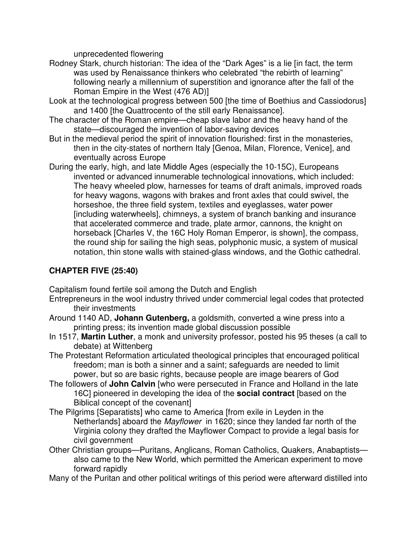unprecedented flowering

- Rodney Stark, church historian: The idea of the "Dark Ages" is a lie [in fact, the term was used by Renaissance thinkers who celebrated "the rebirth of learning" following nearly a millennium of superstition and ignorance after the fall of the Roman Empire in the West (476 AD)]
- Look at the technological progress between 500 [the time of Boethius and Cassiodorus] and 1400 [the Quattrocento of the still early Renaissance].
- The character of the Roman empire—cheap slave labor and the heavy hand of the state—discouraged the invention of labor-saving devices
- But in the medieval period the spirit of innovation flourished: first in the monasteries, then in the city-states of northern Italy [Genoa, Milan, Florence, Venice], and eventually across Europe
- During the early, high, and late Middle Ages (especially the 10-15C), Europeans invented or advanced innumerable technological innovations, which included: The heavy wheeled plow, harnesses for teams of draft animals, improved roads for heavy wagons, wagons with brakes and front axles that could swivel, the horseshoe, the three field system, textiles and eyeglasses, water power [including waterwheels], chimneys, a system of branch banking and insurance that accelerated commerce and trade, plate armor, cannons, the knight on horseback [Charles V, the 16C Holy Roman Emperor, is shown], the compass, the round ship for sailing the high seas, polyphonic music, a system of musical notation, thin stone walls with stained-glass windows, and the Gothic cathedral.

### **CHAPTER FIVE (25:40)**

Capitalism found fertile soil among the Dutch and English

- Entrepreneurs in the wool industry thrived under commercial legal codes that protected their investments
- Around 1140 AD, **Johann Gutenberg,** a goldsmith, converted a wine press into a printing press; its invention made global discussion possible
- In 1517, **Martin Luther**, a monk and university professor, posted his 95 theses (a call to debate) at Wittenberg
- The Protestant Reformation articulated theological principles that encouraged political freedom; man is both a sinner and a saint; safeguards are needed to limit power, but so are basic rights, because people are image bearers of God
- The followers of **John Calvin** [who were persecuted in France and Holland in the late 16C] pioneered in developing the idea of the **social contract** [based on the Biblical concept of the covenant]
- The Pilgrims [Separatists] who came to America [from exile in Leyden in the Netherlands] aboard the Mayflower in 1620; since they landed far north of the Virginia colony they drafted the Mayflower Compact to provide a legal basis for civil government
- Other Christian groups—Puritans, Anglicans, Roman Catholics, Quakers, Anabaptists also came to the New World, which permitted the American experiment to move forward rapidly
- Many of the Puritan and other political writings of this period were afterward distilled into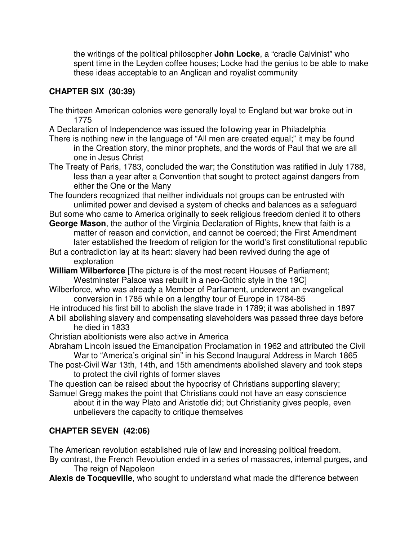the writings of the political philosopher **John Locke**, a "cradle Calvinist" who spent time in the Leyden coffee houses; Locke had the genius to be able to make these ideas acceptable to an Anglican and royalist community

### **CHAPTER SIX (30:39)**

- The thirteen American colonies were generally loyal to England but war broke out in 1775
- A Declaration of Independence was issued the following year in Philadelphia
- There is nothing new in the language of "All men are created equal;" it may be found in the Creation story, the minor prophets, and the words of Paul that we are all one in Jesus Christ
- The Treaty of Paris, 1783, concluded the war; the Constitution was ratified in July 1788, less than a year after a Convention that sought to protect against dangers from either the One or the Many
- The founders recognized that neither individuals not groups can be entrusted with unlimited power and devised a system of checks and balances as a safeguard
- But some who came to America originally to seek religious freedom denied it to others **George Mason**, the author of the Virginia Declaration of Rights, knew that faith is a
- matter of reason and conviction, and cannot be coerced; the First Amendment later established the freedom of religion for the world's first constitutional republic
- But a contradiction lay at its heart: slavery had been revived during the age of exploration
- **William Wilberforce** [The picture is of the most recent Houses of Parliament; Westminster Palace was rebuilt in a neo-Gothic style in the 19C]
- Wilberforce, who was already a Member of Parliament, underwent an evangelical conversion in 1785 while on a lengthy tour of Europe in 1784-85
- He introduced his first bill to abolish the slave trade in 1789; it was abolished in 1897 A bill abolishing slavery and compensating slaveholders was passed three days before
	- he died in 1833
- Christian abolitionists were also active in America
- Abraham Lincoln issued the Emancipation Proclamation in 1962 and attributed the Civil War to "America's original sin" in his Second Inaugural Address in March 1865
- The post-Civil War 13th, 14th, and 15th amendments abolished slavery and took steps to protect the civil rights of former slaves
- The question can be raised about the hypocrisy of Christians supporting slavery; Samuel Gregg makes the point that Christians could not have an easy conscience
	- about it in the way Plato and Aristotle did; but Christianity gives people, even unbelievers the capacity to critique themselves

### **CHAPTER SEVEN (42:06)**

The American revolution established rule of law and increasing political freedom.

- By contrast, the French Revolution ended in a series of massacres, internal purges, and The reign of Napoleon
- **Alexis de Tocqueville**, who sought to understand what made the difference between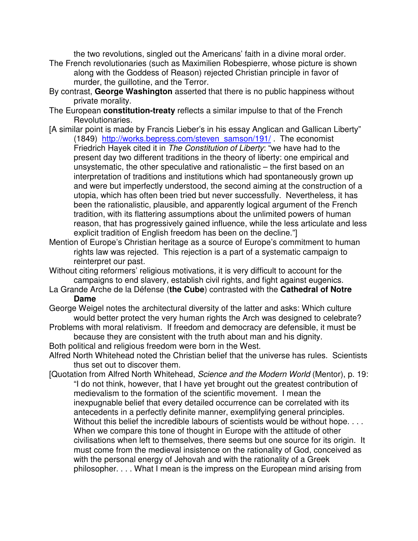the two revolutions, singled out the Americans' faith in a divine moral order.

- The French revolutionaries (such as Maximilien Robespierre, whose picture is shown along with the Goddess of Reason) rejected Christian principle in favor of murder, the guillotine, and the Terror.
- By contrast, **George Washington** asserted that there is no public happiness without private morality.
- The European **constitution-treaty** reflects a similar impulse to that of the French Revolutionaries.
- [A similar point is made by Francis Lieber's in his essay Anglican and Gallican Liberty" (1849) http://works.bepress.com/steven\_samson/191/ . The economist Friedrich Hayek cited it in The Constitution of Liberty: "we have had to the present day two different traditions in the theory of liberty: one empirical and unsystematic, the other speculative and rationalistic – the first based on an interpretation of traditions and institutions which had spontaneously grown up and were but imperfectly understood, the second aiming at the construction of a utopia, which has often been tried but never successfully. Nevertheless, it has been the rationalistic, plausible, and apparently logical argument of the French tradition, with its flattering assumptions about the unlimited powers of human reason, that has progressively gained influence, while the less articulate and less explicit tradition of English freedom has been on the decline."]
- Mention of Europe's Christian heritage as a source of Europe's commitment to human rights law was rejected. This rejection is a part of a systematic campaign to reinterpret our past.
- Without citing reformers' religious motivations, it is very difficult to account for the campaigns to end slavery, establish civil rights, and fight against eugenics.
- La Grande Arche de la Défense (**the Cube**) contrasted with the **Cathedral of Notre Dame**
- George Weigel notes the architectural diversity of the latter and asks: Which culture would better protect the very human rights the Arch was designed to celebrate?
- Problems with moral relativism. If freedom and democracy are defensible, it must be because they are consistent with the truth about man and his dignity.
- Both political and religious freedom were born in the West.
- Alfred North Whitehead noted the Christian belief that the universe has rules. Scientists thus set out to discover them.
- [Quotation from Alfred North Whitehead, Science and the Modern World (Mentor), p. 19: "I do not think, however, that I have yet brought out the greatest contribution of medievalism to the formation of the scientific movement. I mean the inexpugnable belief that every detailed occurrence can be correlated with its antecedents in a perfectly definite manner, exemplifying general principles. Without this belief the incredible labours of scientists would be without hope. . . . When we compare this tone of thought in Europe with the attitude of other civilisations when left to themselves, there seems but one source for its origin. It must come from the medieval insistence on the rationality of God, conceived as with the personal energy of Jehovah and with the rationality of a Greek philosopher. . . . What I mean is the impress on the European mind arising from